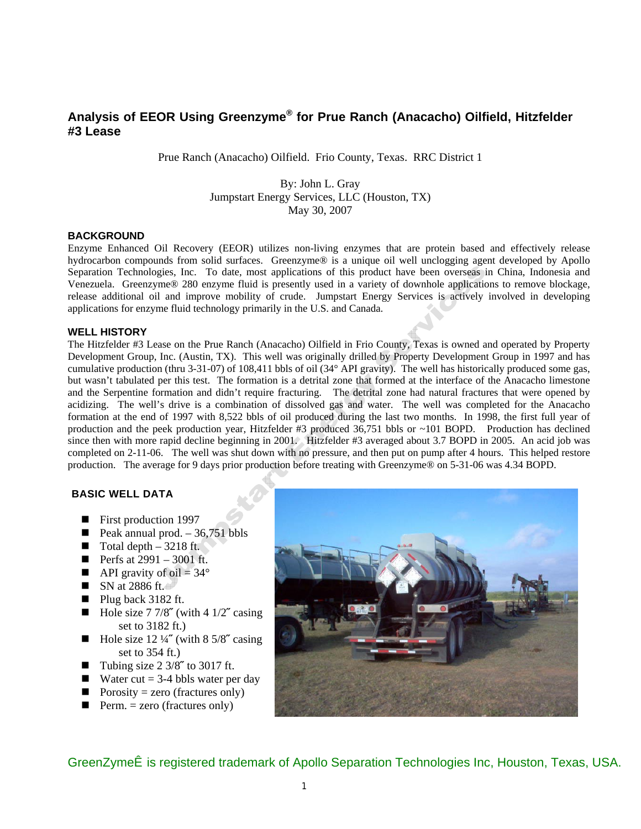# **Analysis of EEOR Using Greenzyme® for Prue Ranch (Anacacho) Oilfield, Hitzfelder #3 Lease**

Prue Ranch (Anacacho) Oilfield. Frio County, Texas. RRC District 1

# By: John L. Gray Jumpstart Energy Services, LLC (Houston, TX) May 30, 2007

# **BACKGROUND**

Enzyme Enhanced Oil Recovery (EEOR) utilizes non-living enzymes that are protein based and effectively release hydrocarbon compounds from solid surfaces. Greenzyme® is a unique oil well unclogging agent developed by Apollo Separation Technologies, Inc. To date, most applications of this product have been overseas in China, Indonesia and Venezuela. Greenzyme® 280 enzyme fluid is presently used in a variety of downhole applications to remove blockage, release additional oil and improve mobility of crude. Jumpstart Energy Services is actively involved in developing applications for enzyme fluid technology primarily in the U.S. and Canada.

#### **WELL HISTORY**

The Hitzfelder #3 Lease on the Prue Ranch (Anacacho) Oilfield in Frio County, Texas is owned and operated by Property Development Group, Inc. (Austin, TX). This well was originally drilled by Property Development Group in 1997 and has cumulative production (thru 3-31-07) of 108,411 bbls of oil (34° API gravity). The well has historically produced some gas, but wasn't tabulated per this test. The formation is a detrital zone that formed at the interface of the Anacacho limestone and the Serpentine formation and didn't require fracturing. The detrital zone had natural fractures that were opened by acidizing. The well's drive is a combination of dissolved gas and water. The well was completed for the Anacacho formation at the end of 1997 with 8,522 bbls of oil produced during the last two months. In 1998, the first full year of production and the peek production year, Hitzfelder #3 produced 36,751 bbls or ~101 BOPD. Production has declined since then with more rapid decline beginning in 2001. Hitzfelder #3 averaged about 3.7 BOPD in 2005. An acid job was completed on 2-11-06. The well was shut down with no pressure, and then put on pump after 4 hours. This helped restore production. The average for 9 days prior production before treating with Greenzyme® on 5-31-06 was 4.34 BOPD.

# **BASIC WELL DATA**

- First production 1997
- **Peak annual prod.**  $-36,751$  bbls
- $\blacksquare$  Total depth 3218 ft.
- **Perfs at 2991 3001 ft.**
- API gravity of oil =  $34^{\circ}$
- $\blacksquare$  SN at 2886 ft.
- Plug back 3182 ft.
- $\blacksquare$  Hole size 7 7/8" (with 4 1/2" casing set to 3182 ft.)
- Hole size 12 ¼**<sup>***z***</sup>** (with 8 5/8<sup>*<i>z*</sup> casing</sup></sup> set to 354 ft.)
- Tubing size 2 3/8**˝** to 3017 ft.
- Water cut =  $3-4$  bbls water per day
- Porosity = zero (fractures only)
- $\blacksquare$  Perm. = zero (fractures only)



O¦^^}Z^{^í#§A^\*ãc^¦^åAs'æå^{æ}\A[~AQE][||[AU^]ælæaã{}A/^&@}[|[\*ã^•AQ}&EAP[ˇ•d[}EA/^¢æ∙EAAUOEN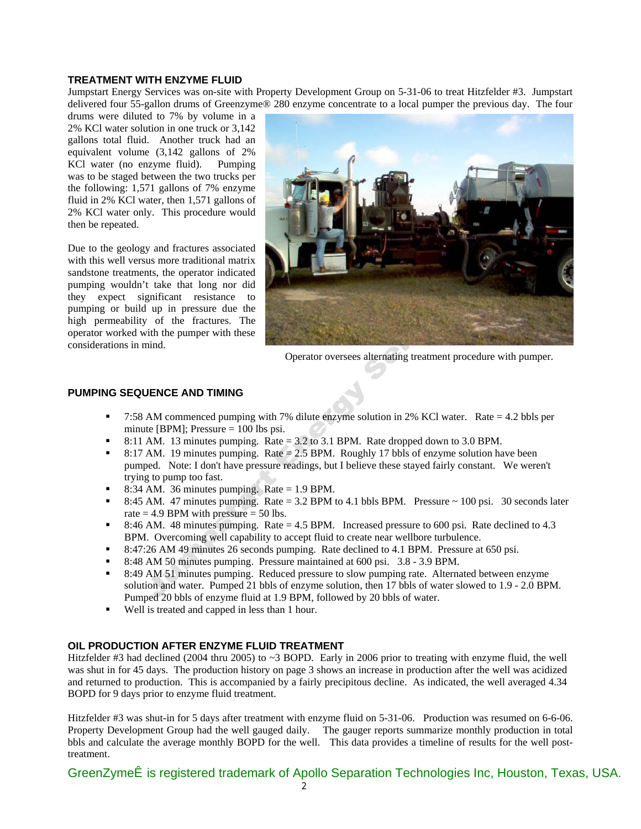#### **TREATMENT WITH ENZYME FLUID**

Jumpstart Energy Services was on-site with Property Development Group on 5-31-06 to treat Hitzfelder #3. Jumpstart delivered four 55-gallon drums of Greenzyme® 280 enzyme concentrate to a local pumper the previous day. The four

drums were diluted to 7% by volume in a 2% KCl water solution in one truck or 3,142 gallons total fluid. Another truck had an equivalent volume (3,142 gallons of 2% KCl water (no enzyme fluid). Pumping was to be staged between the two trucks per the following: 1,571 gallons of 7% enzyme fluid in 2% KCl water, then 1,571 gallons of 2% KCl water only. This procedure would then be repeated.

Due to the geology and fractures associated with this well versus more traditional matrix sandstone treatments, the operator indicated pumping wouldn't take that long nor did they expect significant resistance to pumping or build up in pressure due the high permeability of the fractures. The operator worked with the pumper with these considerations in mind.



Operator oversees alternating treatment procedure with pumper.

#### **PUMPING SEQUENCE AND TIMING**

- 7:58 AM commenced pumping with 7% dilute enzyme solution in 2% KCl water. Rate = 4.2 bbls per minute [BPM]; Pressure  $= 100$  lbs psi.
- 8:11 AM. 13 minutes pumping. Rate  $= 3.2$  to 3.1 BPM. Rate dropped down to 3.0 BPM.
- 8:17 AM. 19 minutes pumping. Rate  $= 2.5$  BPM. Roughly 17 bbls of enzyme solution have been pumped. Note: I don't have pressure readings, but I believe these stayed fairly constant. We weren't trying to pump too fast.
- 8:34 AM. 36 minutes pumping. Rate = 1.9 BPM.
- 8:45 AM. 47 minutes pumping. Rate = 3.2 BPM to 4.1 bbls BPM. Pressure  $\sim$  100 psi. 30 seconds later rate  $= 4.9$  BPM with pressure  $= 50$  lbs.
- 8:46 AM. 48 minutes pumping. Rate = 4.5 BPM. Increased pressure to 600 psi. Rate declined to 4.3 BPM. Overcoming well capability to accept fluid to create near wellbore turbulence.
- 8:47:26 AM 49 minutes 26 seconds pumping. Rate declined to 4.1 BPM. Pressure at 650 psi.
- 8:48 AM 50 minutes pumping. Pressure maintained at 600 psi. 3.8 3.9 BPM.
- 8:49 AM 51 minutes pumping. Reduced pressure to slow pumping rate. Alternated between enzyme solution and water. Pumped 21 bbls of enzyme solution, then 17 bbls of water slowed to 1.9 - 2.0 BPM. Pumped 20 bbls of enzyme fluid at 1.9 BPM, followed by 20 bbls of water.
- Well is treated and capped in less than 1 hour.

# **OIL PRODUCTION AFTER ENZYME FLUID TREATMENT**

Hitzfelder #3 had declined (2004 thru 2005) to ~3 BOPD. Early in 2006 prior to treating with enzyme fluid, the well was shut in for 45 days. The production history on page 3 shows an increase in production after the well was acidized and returned to production. This is accompanied by a fairly precipitous decline. As indicated, the well averaged 4.34 BOPD for 9 days prior to enzyme fluid treatment.

Hitzfelder #3 was shut-in for 5 days after treatment with enzyme fluid on 5-31-06. Production was resumed on 6-6-06. Property Development Group had the well gauged daily. The gauger reports summarize monthly production in total bbls and calculate the average monthly BOPD for the well. This data provides a timeline of results for the well posttreatment.

 2  $\tilde{O}$ |^^}Z^{^i  $\tilde{A}$ a Á^\* $\tilde{a}$ c^|^å $\tilde{A}$ lastered \ $\tilde{A}$  AQq[|| Au^]asaeqq} Au^&@q[|| \* $\tilde{a}$ • AQQaeqq}  $\tilde{B}$ u^cae $\tilde{B}$ Au $\tilde{C}$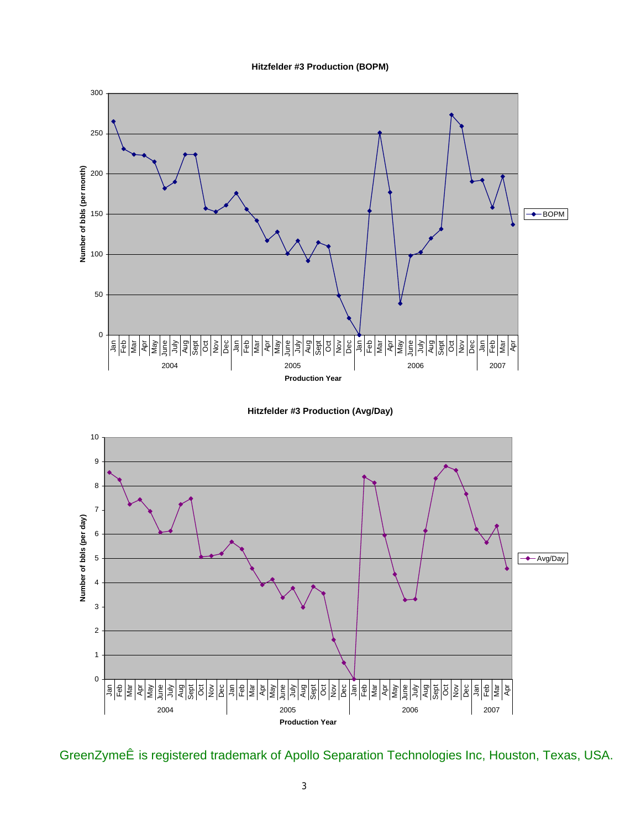#### **Hitzfelder #3 Production (BOPM)**







 $\tilde{O}$ I^^}Z^{^i  $\tilde{R}$  A^\* $\tilde{a}$ c^I^a Áds $\alpha$ an {ad \Apollo III AU^] ad asaq } AU^&@ [|[\* $\tilde{a}$ \*a  $\tilde{A}$ Q& $\tilde{R}$ P[\* $\bullet$ d }  $\tilde{R}$ U^¢ae  $\tilde{R}$ AU $O$ CE